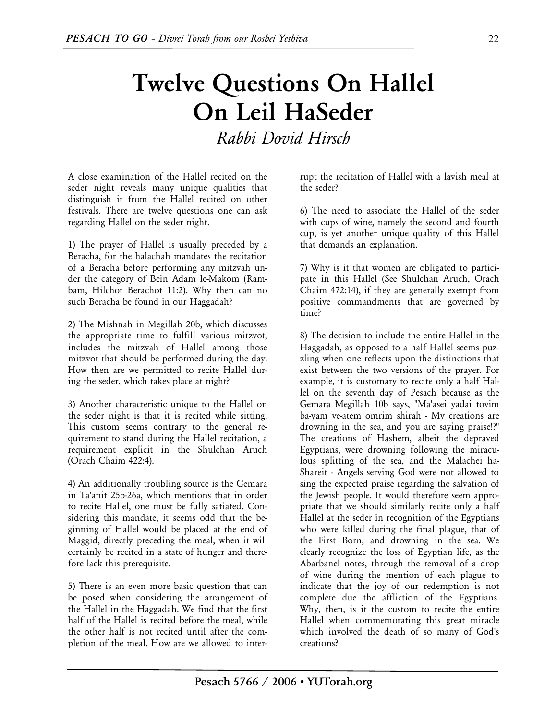## **Twelve Questions On Hallel On Leil HaSeder**  *Rabbi Dovid Hirsch*

A close examination of the Hallel recited on the seder night reveals many unique qualities that distinguish it from the Hallel recited on other festivals. There are twelve questions one can ask regarding Hallel on the seder night.

1) The prayer of Hallel is usually preceded by a Beracha, for the halachah mandates the recitation of a Beracha before performing any mitzvah under the category of Bein Adam le-Makom (Rambam, Hilchot Berachot 11:2). Why then can no such Beracha be found in our Haggadah?

2) The Mishnah in Megillah 20b, which discusses the appropriate time to fulfill various mitzvot, includes the mitzvah of Hallel among those mitzvot that should be performed during the day. How then are we permitted to recite Hallel during the seder, which takes place at night?

3) Another characteristic unique to the Hallel on the seder night is that it is recited while sitting. This custom seems contrary to the general requirement to stand during the Hallel recitation, a requirement explicit in the Shulchan Aruch (Orach Chaim 422:4).

4) An additionally troubling source is the Gemara in Ta'anit 25b-26a, which mentions that in order to recite Hallel, one must be fully satiated. Considering this mandate, it seems odd that the beginning of Hallel would be placed at the end of Maggid, directly preceding the meal, when it will certainly be recited in a state of hunger and therefore lack this prerequisite.

5) There is an even more basic question that can be posed when considering the arrangement of the Hallel in the Haggadah. We find that the first half of the Hallel is recited before the meal, while the other half is not recited until after the completion of the meal. How are we allowed to interrupt the recitation of Hallel with a lavish meal at the seder?

6) The need to associate the Hallel of the seder with cups of wine, namely the second and fourth cup, is yet another unique quality of this Hallel that demands an explanation.

7) Why is it that women are obligated to participate in this Hallel (See Shulchan Aruch, Orach Chaim 472:14), if they are generally exempt from positive commandments that are governed by time?

8) The decision to include the entire Hallel in the Haggadah, as opposed to a half Hallel seems puzzling when one reflects upon the distinctions that exist between the two versions of the prayer. For example, it is customary to recite only a half Hallel on the seventh day of Pesach because as the Gemara Megillah 10b says, "Ma'asei yadai tovim ba-yam ve-atem omrim shirah - My creations are drowning in the sea, and you are saying praise!?" The creations of Hashem, albeit the depraved Egyptians, were drowning following the miraculous splitting of the sea, and the Malachei ha-Shareit - Angels serving God were not allowed to sing the expected praise regarding the salvation of the Jewish people. It would therefore seem appropriate that we should similarly recite only a half Hallel at the seder in recognition of the Egyptians who were killed during the final plague, that of the First Born, and drowning in the sea. We clearly recognize the loss of Egyptian life, as the Abarbanel notes, through the removal of a drop of wine during the mention of each plague to indicate that the joy of our redemption is not complete due the affliction of the Egyptians. Why, then, is it the custom to recite the entire Hallel when commemorating this great miracle which involved the death of so many of God's creations?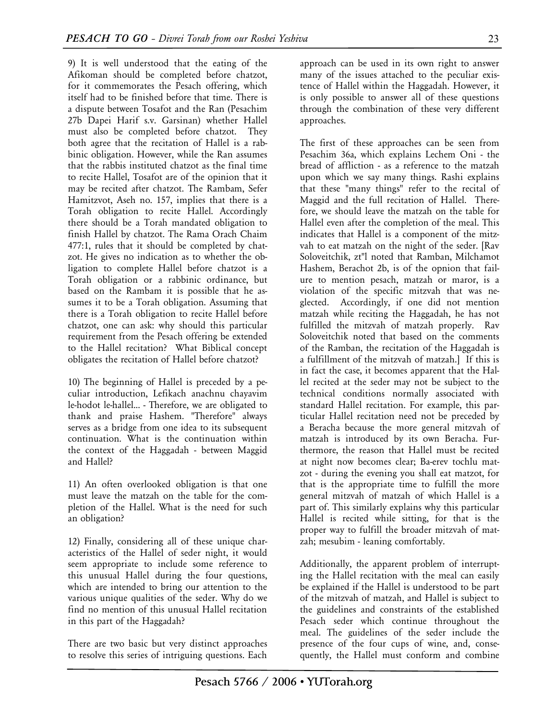9) It is well understood that the eating of the Afikoman should be completed before chatzot, for it commemorates the Pesach offering, which itself had to be finished before that time. There is a dispute between Tosafot and the Ran (Pesachim 27b Dapei Harif s.v. Garsinan) whether Hallel must also be completed before chatzot. They both agree that the recitation of Hallel is a rabbinic obligation. However, while the Ran assumes that the rabbis instituted chatzot as the final time to recite Hallel, Tosafot are of the opinion that it may be recited after chatzot. The Rambam, Sefer Hamitzvot, Aseh no. 157, implies that there is a Torah obligation to recite Hallel. Accordingly there should be a Torah mandated obligation to finish Hallel by chatzot. The Rama Orach Chaim 477:1, rules that it should be completed by chatzot. He gives no indication as to whether the obligation to complete Hallel before chatzot is a Torah obligation or a rabbinic ordinance, but based on the Rambam it is possible that he assumes it to be a Torah obligation. Assuming that there is a Torah obligation to recite Hallel before chatzot, one can ask: why should this particular requirement from the Pesach offering be extended to the Hallel recitation? What Biblical concept obligates the recitation of Hallel before chatzot?

10) The beginning of Hallel is preceded by a peculiar introduction, Lefikach anachnu chayavim le-hodot le-hallel... - Therefore, we are obligated to thank and praise Hashem. "Therefore" always serves as a bridge from one idea to its subsequent continuation. What is the continuation within the context of the Haggadah - between Maggid and Hallel?

11) An often overlooked obligation is that one must leave the matzah on the table for the completion of the Hallel. What is the need for such an obligation?

12) Finally, considering all of these unique characteristics of the Hallel of seder night, it would seem appropriate to include some reference to this unusual Hallel during the four questions, which are intended to bring our attention to the various unique qualities of the seder. Why do we find no mention of this unusual Hallel recitation in this part of the Haggadah?

There are two basic but very distinct approaches to resolve this series of intriguing questions. Each

approach can be used in its own right to answer many of the issues attached to the peculiar existence of Hallel within the Haggadah. However, it is only possible to answer all of these questions through the combination of these very different approaches.

The first of these approaches can be seen from Pesachim 36a, which explains Lechem Oni - the bread of affliction - as a reference to the matzah upon which we say many things. Rashi explains that these "many things" refer to the recital of Maggid and the full recitation of Hallel. Therefore, we should leave the matzah on the table for Hallel even after the completion of the meal. This indicates that Hallel is a component of the mitzvah to eat matzah on the night of the seder. [Rav Soloveitchik, zt"l noted that Ramban, Milchamot Hashem, Berachot 2b, is of the opnion that failure to mention pesach, matzah or maror, is a violation of the specific mitzvah that was neglected. Accordingly, if one did not mention matzah while reciting the Haggadah, he has not fulfilled the mitzvah of matzah properly. Rav Soloveitchik noted that based on the comments of the Ramban, the recitation of the Haggadah is a fulfillment of the mitzvah of matzah.] If this is in fact the case, it becomes apparent that the Hallel recited at the seder may not be subject to the technical conditions normally associated with standard Hallel recitation. For example, this particular Hallel recitation need not be preceded by a Beracha because the more general mitzvah of matzah is introduced by its own Beracha. Furthermore, the reason that Hallel must be recited at night now becomes clear; Ba-erev tochlu matzot - during the evening you shall eat matzot, for that is the appropriate time to fulfill the more general mitzvah of matzah of which Hallel is a part of. This similarly explains why this particular Hallel is recited while sitting, for that is the proper way to fulfill the broader mitzvah of matzah; mesubim - leaning comfortably.

Additionally, the apparent problem of interrupting the Hallel recitation with the meal can easily be explained if the Hallel is understood to be part of the mitzvah of matzah, and Hallel is subject to the guidelines and constraints of the established Pesach seder which continue throughout the meal. The guidelines of the seder include the presence of the four cups of wine, and, consequently, the Hallel must conform and combine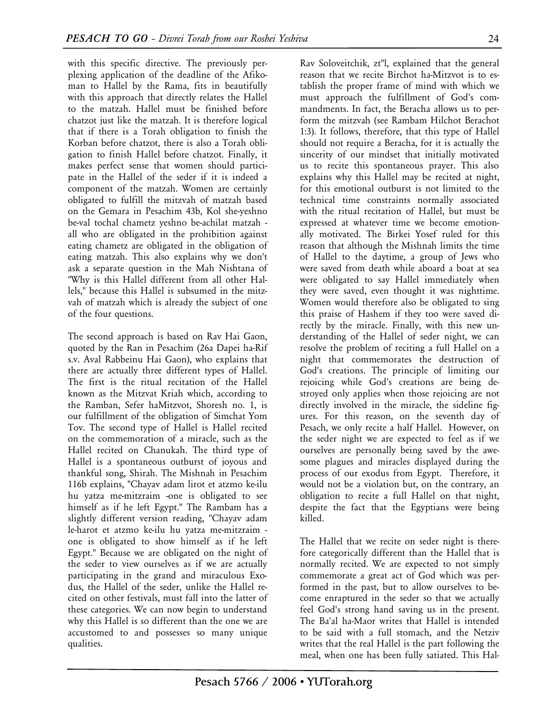with this specific directive. The previously perplexing application of the deadline of the Afikoman to Hallel by the Rama, fits in beautifully with this approach that directly relates the Hallel to the matzah. Hallel must be finished before chatzot just like the matzah. It is therefore logical that if there is a Torah obligation to finish the Korban before chatzot, there is also a Torah obligation to finish Hallel before chatzot. Finally, it makes perfect sense that women should participate in the Hallel of the seder if it is indeed a component of the matzah. Women are certainly obligated to fulfill the mitzvah of matzah based on the Gemara in Pesachim 43b, Kol she-yeshno be-val tochal chametz yeshno be-achilat matzah all who are obligated in the prohibition against eating chametz are obligated in the obligation of eating matzah. This also explains why we don't ask a separate question in the Mah Nishtana of "Why is this Hallel different from all other Hallels," because this Hallel is subsumed in the mitzvah of matzah which is already the subject of one of the four questions.

The second approach is based on Rav Hai Gaon, quoted by the Ran in Pesachim (26a Dapei ha-Rif s.v. Aval Rabbeinu Hai Gaon), who explains that there are actually three different types of Hallel. The first is the ritual recitation of the Hallel known as the Mitzvat Kriah which, according to the Ramban, Sefer haMitzvot, Shoresh no. 1, is our fulfillment of the obligation of Simchat Yom Tov. The second type of Hallel is Hallel recited on the commemoration of a miracle, such as the Hallel recited on Chanukah. The third type of Hallel is a spontaneous outburst of joyous and thankful song, Shirah. The Mishnah in Pesachim 116b explains, "Chayav adam lirot et atzmo ke-ilu hu yatza me-mitzraim -one is obligated to see himself as if he left Egypt." The Rambam has a slightly different version reading, "Chayav adam le-harot et atzmo ke-ilu hu yatza me-mitzraim one is obligated to show himself as if he left Egypt." Because we are obligated on the night of the seder to view ourselves as if we are actually participating in the grand and miraculous Exodus, the Hallel of the seder, unlike the Hallel recited on other festivals, must fall into the latter of these categories. We can now begin to understand why this Hallel is so different than the one we are accustomed to and possesses so many unique qualities.

Rav Soloveitchik, zt"l, explained that the general reason that we recite Birchot ha-Mitzvot is to establish the proper frame of mind with which we must approach the fulfillment of God's commandments. In fact, the Beracha allows us to perform the mitzvah (see Rambam Hilchot Berachot 1:3). It follows, therefore, that this type of Hallel should not require a Beracha, for it is actually the sincerity of our mindset that initially motivated us to recite this spontaneous prayer. This also explains why this Hallel may be recited at night, for this emotional outburst is not limited to the technical time constraints normally associated with the ritual recitation of Hallel, but must be expressed at whatever time we become emotionally motivated. The Birkei Yosef ruled for this reason that although the Mishnah limits the time of Hallel to the daytime, a group of Jews who were saved from death while aboard a boat at sea were obligated to say Hallel immediately when they were saved, even thought it was nighttime. Women would therefore also be obligated to sing this praise of Hashem if they too were saved directly by the miracle. Finally, with this new understanding of the Hallel of seder night, we can resolve the problem of reciting a full Hallel on a night that commemorates the destruction of God's creations. The principle of limiting our rejoicing while God's creations are being destroyed only applies when those rejoicing are not directly involved in the miracle, the sideline figures. For this reason, on the seventh day of Pesach, we only recite a half Hallel. However, on the seder night we are expected to feel as if we ourselves are personally being saved by the awesome plagues and miracles displayed during the process of our exodus from Egypt. Therefore, it would not be a violation but, on the contrary, an obligation to recite a full Hallel on that night, despite the fact that the Egyptians were being killed.

The Hallel that we recite on seder night is therefore categorically different than the Hallel that is normally recited. We are expected to not simply commemorate a great act of God which was performed in the past, but to allow ourselves to become enraptured in the seder so that we actually feel God's strong hand saving us in the present. The Ba'al ha-Maor writes that Hallel is intended to be said with a full stomach, and the Netziv writes that the real Hallel is the part following the meal, when one has been fully satiated. This Hal